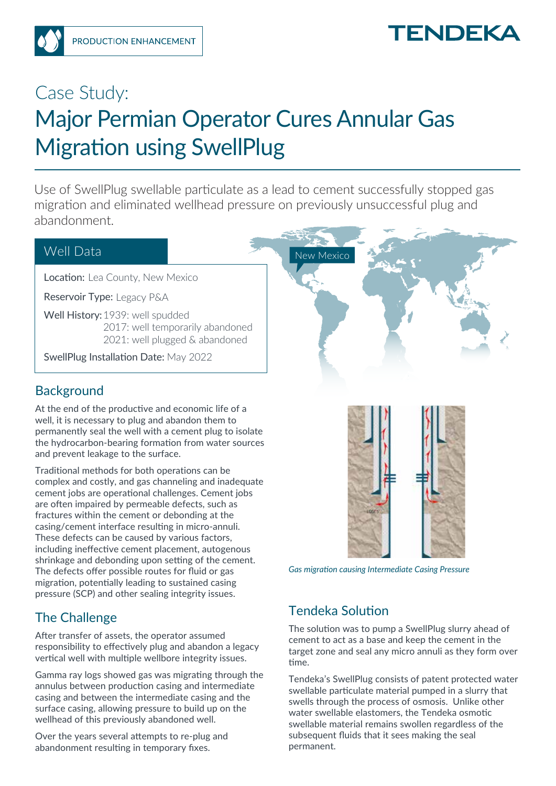# **TENDEKA**

# Case Study: Major Permian Operator Cures Annular Gas Migration using SwellPlug

Use of SwellPlug swellable particulate as a lead to cement successfully stopped gas migration and eliminated wellhead pressure on previously unsuccessful plug and abandonment.

#### Well Data

Location: Lea County, New Mexico

Reservoir Type: Legacy P&A

Well History: 1939: well spudded 2017: well temporarily abandoned 2021: well plugged & abandoned

SwellPlug Installation Date: May 2022

#### **Background**

At the end of the productive and economic life of a well, it is necessary to plug and abandon them to permanently seal the well with a cement plug to isolate the hydrocarbon-bearing formation from water sources and prevent leakage to the surface.

Traditional methods for both operations can be complex and costly, and gas channeling and inadequate cement jobs are operational challenges. Cement jobs are often impaired by permeable defects, such as fractures within the cement or debonding at the casing/cement interface resulting in micro-annuli. These defects can be caused by various factors, including ineffective cement placement, autogenous shrinkage and debonding upon setting of the cement. The defects offer possible routes for fluid or gas migration, potentially leading to sustained casing pressure (SCP) and other sealing integrity issues.

## The Challenge

After transfer of assets, the operator assumed responsibility to effectively plug and abandon a legacy vertical well with multiple wellbore integrity issues.

Gamma ray logs showed gas was migrating through the annulus between production casing and intermediate casing and between the intermediate casing and the surface casing, allowing pressure to build up on the wellhead of this previously abandoned well.

Over the years several attempts to re-plug and abandonment resulting in temporary fixes.





*Gas migration causing Intermediate Casing Pressure*

## Tendeka Solution

The solution was to pump a SwellPlug slurry ahead of cement to act as a base and keep the cement in the target zone and seal any micro annuli as they form over time.

Tendeka's SwellPlug consists of patent protected water swellable particulate material pumped in a slurry that swells through the process of osmosis. Unlike other water swellable elastomers, the Tendeka osmotic swellable material remains swollen regardless of the subsequent fluids that it sees making the seal permanent.